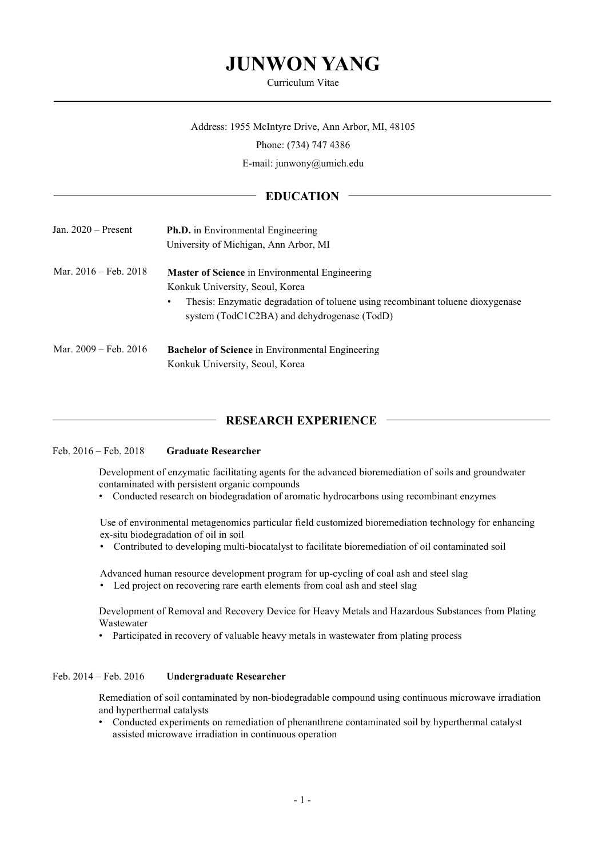# **JUNWON YANG**

#### Curriculum Vitae

## Address: 1955 McIntyre Drive, Ann Arbor, MI, 48105

Phone: (734) 747 4386

E-mail: junwony@umich.edu

## **EDUCATION**

| Jan. $2020$ – Present           | <b>Ph.D.</b> in Environmental Engineering<br>University of Michigan, Ann Arbor, MI                                                                                                                                             |
|---------------------------------|--------------------------------------------------------------------------------------------------------------------------------------------------------------------------------------------------------------------------------|
| Mar. $2016 - \text{Feb. } 2018$ | <b>Master of Science</b> in Environmental Engineering<br>Konkuk University, Seoul, Korea<br>Thesis: Enzymatic degradation of toluene using recombinant toluene dioxygenase<br>٠<br>system (TodC1C2BA) and dehydrogenase (TodD) |
| Mar. $2009 - \text{Feb. } 2016$ | <b>Bachelor of Science</b> in Environmental Engineering<br>Konkuk University, Seoul, Korea                                                                                                                                     |

## **RESEARCH EXPERIENCE**

### Feb. 2016 – Feb. 2018 **Graduate Researcher**

Development of enzymatic facilitating agents for the advanced bioremediation of soils and groundwater contaminated with persistent organic compounds

• Conducted research on biodegradation of aromatic hydrocarbons using recombinant enzymes

Use of environmental metagenomics particular field customized bioremediation technology for enhancing ex-situ biodegradation of oil in soil

• Contributed to developing multi-biocatalyst to facilitate bioremediation of oil contaminated soil

Advanced human resource development program for up-cycling of coal ash and steel slag • Led project on recovering rare earth elements from coal ash and steel slag

Development of Removal and Recovery Device for Heavy Metals and Hazardous Substances from Plating Wastewater

• Participated in recovery of valuable heavy metals in wastewater from plating process

## Feb. 2014 – Feb. 2016 **Undergraduate Researcher**

Remediation of soil contaminated by non-biodegradable compound using continuous microwave irradiation and hyperthermal catalysts

• Conducted experiments on remediation of phenanthrene contaminated soil by hyperthermal catalyst assisted microwave irradiation in continuous operation